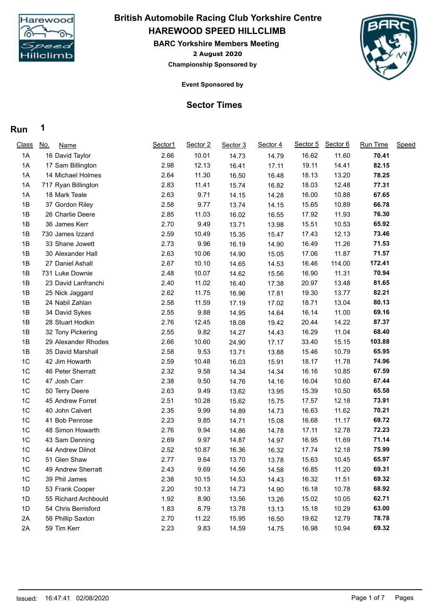

## **HAREWOOD SPEED HILLCLIMB British Automobile Racing Club Yorkshire Centre**

**2 August 2020 BARC Yorkshire Members Meeting Championship Sponsored by**



**Event Sponsored by**

## **Sector Times**

## **Run 1**

| <b>Class</b>   | <u>No.</u><br><b>Name</b> | Sector1 | Sector 2 | Sector 3 | Sector 4 | Sector 5 | Sector 6 | <b>Run Time</b> | Speed |
|----------------|---------------------------|---------|----------|----------|----------|----------|----------|-----------------|-------|
| 1A             | 16 David Taylor           | 2.66    | 10.01    | 14.73    | 14.79    | 16.62    | 11.60    | 70.41           |       |
| 1A             | 17 Sam Billington         | 2.98    | 12.13    | 16.41    | 17.11    | 19.11    | 14.41    | 82.15           |       |
| 1A             | 14 Michael Holmes         | 2.64    | 11.30    | 16.50    | 16.48    | 18.13    | 13.20    | 78.25           |       |
| 1A             | 717 Ryan Billington       | 2.83    | 11.41    | 15.74    | 16.82    | 18.03    | 12.48    | 77.31           |       |
| 1A             | 18 Mark Teale             | 2.63    | 9.71     | 14.15    | 14.28    | 16.00    | 10.88    | 67.65           |       |
| 1B             | 37 Gordon Riley           | 2.58    | 9.77     | 13.74    | 14.15    | 15.65    | 10.89    | 66.78           |       |
| 1B             | 26 Charlie Deere          | 2.85    | 11.03    | 16.02    | 16.55    | 17.92    | 11.93    | 76.30           |       |
| 1B             | 36 James Kerr             | 2.70    | 9.49     | 13.71    | 13.98    | 15.51    | 10.53    | 65.92           |       |
| 1B             | 730 James Izzard          | 2.59    | 10.49    | 15.35    | 15.47    | 17.43    | 12.13    | 73.46           |       |
| 1B             | 33 Shane Jowett           | 2.73    | 9.96     | 16.19    | 14.90    | 16.49    | 11.26    | 71.53           |       |
| 1B             | 30 Alexander Hall         | 2.63    | 10.06    | 14.90    | 15.05    | 17.06    | 11.87    | 71.57           |       |
| 1B             | 27 Daniel Ashall          | 2.67    | 10.10    | 14.65    | 14.53    | 16.46    | 114.00   | 172.41          |       |
| 1B             | 731 Luke Downie           | 2.48    | 10.07    | 14.62    | 15.56    | 16.90    | 11.31    | 70.94           |       |
| 1B             | 23 David Lanfranchi       | 2.40    | 11.02    | 16.40    | 17.38    | 20.97    | 13.48    | 81.65           |       |
| 1B             | 25 Nick Jaggard           | 2.62    | 11.75    | 16.96    | 17.81    | 19.30    | 13.77    | 82.21           |       |
| 1B             | 24 Nabil Zahlan           | 2.58    | 11.59    | 17.19    | 17.02    | 18.71    | 13.04    | 80.13           |       |
| 1B             | 34 David Sykes            | 2.55    | 9.88     | 14.95    | 14.64    | 16.14    | 11.00    | 69.16           |       |
| 1B             | 28 Stuart Hodkin          | 2.76    | 12.45    | 18.08    | 19.42    | 20.44    | 14.22    | 87.37           |       |
| 1B             | 32 Tony Pickering         | 2.55    | 9.82     | 14.27    | 14.43    | 16.29    | 11.04    | 68.40           |       |
| 1B             | 29 Alexander Rhodes       | 2.66    | 10.60    | 24.90    | 17.17    | 33.40    | 15.15    | 103.88          |       |
| 1B             | 35 David Marshall         | 2.58    | 9.53     | 13.71    | 13.88    | 15.46    | 10.79    | 65.95           |       |
| 1C             | 42 Jim Howarth            | 2.59    | 10.48    | 16.03    | 15.91    | 18.17    | 11.78    | 74.96           |       |
| 1C             | 46 Peter Sherratt         | 2.32    | 9.58     | 14.34    | 14.34    | 16.16    | 10.85    | 67.59           |       |
| 1 <sup>C</sup> | 47 Josh Carr              | 2.38    | 9.50     | 14.76    | 14.16    | 16.04    | 10.60    | 67.44           |       |
| 1C             | 50 Terry Deere            | 2.63    | 9.49     | 13.62    | 13.95    | 15.39    | 10.50    | 65.58           |       |
| 1C             | 45 Andrew Forret          | 2.51    | 10.28    | 15.62    | 15.75    | 17.57    | 12.18    | 73.91           |       |
| 1C             | 40 John Calvert           | 2.35    | 9.99     | 14.89    | 14.73    | 16.63    | 11.62    | 70.21           |       |
| 1 <sup>C</sup> | 41 Bob Penrose            | 2.23    | 9.85     | 14.71    | 15.08    | 16.68    | 11.17    | 69.72           |       |
| 1C             | 48 Simon Howarth          | 2.76    | 9.94     | 14.86    | 14.78    | 17.11    | 12.78    | 72.23           |       |
| 1C             | 43 Sam Denning            | 2.69    | 9.97     | 14.87    | 14.97    | 16.95    | 11.69    | 71.14           |       |
| 1 <sup>C</sup> | 44 Andrew Dilnot          | 2.52    | 10.87    | 16.36    | 16.32    | 17.74    | 12.18    | 75.99           |       |
| 1 <sup>C</sup> | 51 Glen Shaw              | 2.77    | 9.64     | 13.70    | 13.78    | 15.63    | 10.45    | 65.97           |       |
| 1C             | 49 Andrew Sherratt        | 2.43    | 9.69     | 14.56    | 14.58    | 16.85    | 11.20    | 69.31           |       |
| 1C             | 39 Phil James             | 2.38    | 10.15    | 14.53    | 14.43    | 16.32    | 11.51    | 69.32           |       |
| 1D             | 53 Frank Cooper           | 2.20    | 10.13    | 14.73    | 14.90    | 16.18    | 10.78    | 68.92           |       |
| 1D             | 55 Richard Archbould      | 1.92    | 8.90     | 13.56    | 13.26    | 15.02    | 10.05    | 62.71           |       |
| 1D             | 54 Chris Berrisford       | 1.83    | 8.79     | 13.78    | 13.13    | 15.18    | 10.29    | 63.00           |       |
| 2A             | 58 Phillip Saxton         | 2.70    | 11.22    | 15.95    | 16.50    | 19.62    | 12.79    | 78.78           |       |
| 2A             | 59 Tim Kerr               | 2.23    | 9.83     | 14.59    | 14.75    | 16.98    | 10.94    | 69.32           |       |
|                |                           |         |          |          |          |          |          |                 |       |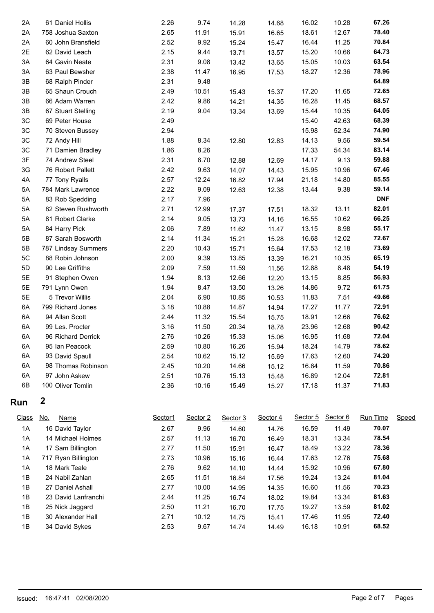| 2A           | 61 Daniel Hollis          | 2.26    | 9.74     | 14.28    | 14.68    | 16.02    | 10.28    | 67.26           |       |
|--------------|---------------------------|---------|----------|----------|----------|----------|----------|-----------------|-------|
| 2A           | 758 Joshua Saxton         | 2.65    | 11.91    | 15.91    | 16.65    | 18.61    | 12.67    | 78.40           |       |
| 2A           | 60 John Bransfield        | 2.52    | 9.92     | 15.24    | 15.47    | 16.44    | 11.25    | 70.84           |       |
| 2E           | 62 David Leach            | 2.15    | 9.44     | 13.71    | 13.57    | 15.20    | 10.66    | 64.73           |       |
| $3A$         | 64 Gavin Neate            | 2.31    | 9.08     | 13.42    | 13.65    | 15.05    | 10.03    | 63.54           |       |
| 3A           | 63 Paul Bewsher           | 2.38    | 11.47    | 16.95    | 17.53    | 18.27    | 12.36    | 78.96           |       |
| 3B           | 68 Ralph Pinder           | 2.31    | 9.48     |          |          |          |          | 64.89           |       |
| 3B           | 65 Shaun Crouch           | 2.49    | 10.51    | 15.43    | 15.37    | 17.20    | 11.65    | 72.65           |       |
| 3B           | 66 Adam Warren            | 2.42    | 9.86     | 14.21    | 14.35    | 16.28    | 11.45    | 68.57           |       |
| 3B           | 67 Stuart Stelling        | 2.19    | 9.04     | 13.34    | 13.69    | 15.44    | 10.35    | 64.05           |       |
| 3C           | 69 Peter House            | 2.49    |          |          |          | 15.40    | 42.63    | 68.39           |       |
| $3C$         | 70 Steven Bussey          | 2.94    |          |          |          | 15.98    | 52.34    | 74.90           |       |
| 3C           | 72 Andy Hill              | 1.88    | 8.34     | 12.80    | 12.83    | 14.13    | 9.56     | 59.54           |       |
| 3C           | 71 Damien Bradley         | 1.86    | 8.26     |          |          | 17.33    | 54.34    | 83.14           |       |
| 3F           | 74 Andrew Steel           | 2.31    | 8.70     | 12.88    | 12.69    | 14.17    | 9.13     | 59.88           |       |
| 3G           | 76 Robert Pallett         | 2.42    | 9.63     | 14.07    | 14.43    | 15.95    | 10.96    | 67.46           |       |
| 4A           | 77 Tony Ryalls            | 2.57    | 12.24    | 16.82    | 17.94    | 21.18    | 14.80    | 85.55           |       |
| 5A           | 784 Mark Lawrence         | 2.22    | 9.09     | 12.63    | 12.38    | 13.44    | 9.38     | 59.14           |       |
| 5A           | 83 Rob Spedding           | 2.17    | 7.96     |          |          |          |          | <b>DNF</b>      |       |
| 5A           | 82 Steven Rushworth       | 2.71    | 12.99    | 17.37    | 17.51    | 18.32    | 13.11    | 82.01           |       |
| 5A           | 81 Robert Clarke          | 2.14    | 9.05     | 13.73    | 14.16    | 16.55    | 10.62    | 66.25           |       |
| 5A           | 84 Harry Pick             | 2.06    | 7.89     | 11.62    | 11.47    | 13.15    | 8.98     | 55.17           |       |
| 5B           | 87 Sarah Bosworth         | 2.14    | 11.34    | 15.21    | 15.28    | 16.68    | 12.02    | 72.67           |       |
| 5B           | 787 Lindsay Summers       | 2.20    | 10.43    | 15.71    | 15.64    | 17.53    | 12.18    | 73.69           |       |
| 5C           | 88 Robin Johnson          | 2.00    | 9.39     | 13.85    | 13.39    | 16.21    | 10.35    | 65.19           |       |
| 5D           | 90 Lee Griffiths          | 2.09    | 7.59     | 11.59    | 11.56    | 12.88    | 8.48     | 54.19           |       |
| 5E           | 91 Stephen Owen           | 1.94    | 8.13     | 12.66    | 12.20    | 13.15    | 8.85     | 56.93           |       |
| 5E           | 791 Lynn Owen             | 1.94    | 8.47     | 13.50    | 13.26    | 14.86    | 9.72     | 61.75           |       |
| 5E           | 5 Trevor Willis           | 2.04    | 6.90     | 10.85    | 10.53    | 11.83    | 7.51     | 49.66           |       |
| 6A           | 799 Richard Jones         | 3.18    | 10.88    | 14.87    | 14.94    | 17.27    | 11.77    | 72.91           |       |
| 6A           | 94 Allan Scott            | 2.44    | 11.32    | 15.54    | 15.75    | 18.91    | 12.66    | 76.62           |       |
| 6A           | 99 Les. Procter           | 3.16    | 11.50    | 20.34    | 18.78    | 23.96    | 12.68    | 90.42           |       |
| 6A           | 96 Richard Derrick        | 2.76    | 10.26    | 15.33    | 15.06    | 16.95    | 11.68    | 72.04           |       |
| 6A           | 95 Ian Peacock            | 2.59    | 10.80    | 16.26    | 15.94    | 18.24    | 14.79    | 78.62           |       |
| 6A           | 93 David Spaull           | 2.54    | 10.62    | 15.12    | 15.69    | 17.63    | 12.60    | 74.20           |       |
| 6A           | 98 Thomas Robinson        | 2.45    | 10.20    | 14.66    | 15.12    | 16.84    | 11.59    | 70.86           |       |
| 6A           | 97 John Askew             | 2.51    | 10.76    | 15.13    | 15.48    | 16.89    | 12.04    | 72.81           |       |
| 6B           | 100 Oliver Tomlin         | 2.36    | 10.16    | 15.49    | 15.27    | 17.18    | 11.37    | 71.83           |       |
| Run          | $\boldsymbol{2}$          |         |          |          |          |          |          |                 |       |
| <b>Class</b> | <u>No.</u><br><b>Name</b> | Sector1 | Sector 2 | Sector 3 | Sector 4 | Sector 5 | Sector 6 | <b>Run Time</b> | Speed |
| 1A           | 16 David Taylor           | 2.67    | 9.96     | 14.60    | 14.76    | 16.59    | 11.49    | 70.07           |       |
| 1A           | 14 Michael Holmes         | 2.57    | 11.13    | 16.70    | 16.49    | 18.31    | 13.34    | 78.54           |       |
| 1A           | 17 Sam Billington         | 2.77    | 11.50    | 15.91    | 16.47    | 18.49    | 13.22    | 78.36           |       |
| 1A           | 717 Ryan Billington       | 2.73    | 10.96    | 15.16    | 16.44    | 17.63    | 12.76    | 75.68           |       |

| 1Α | 717 Ryan Billington | 2.73 | 10.96 | 15.16 | 16.44 | 17.63 | 12.76 | 75.68 |
|----|---------------------|------|-------|-------|-------|-------|-------|-------|
| 1A | 18 Mark Teale       | 2.76 | 9.62  | 14.10 | 14.44 | 15.92 | 10.96 | 67.80 |
| 1B | 24 Nabil Zahlan     | 2.65 | 11.51 | 16.84 | 17.56 | 19.24 | 13.24 | 81.04 |
| 1B | 27 Daniel Ashall    | 2.77 | 10.00 | 14.95 | 14.35 | 16.60 | 11.56 | 70.23 |
| 1B | 23 David Lanfranchi | 2.44 | 11.25 | 16.74 | 18.02 | 19.84 | 13.34 | 81.63 |
| 1B | 25 Nick Jaggard     | 2.50 | 11.21 | 16.70 | 17.75 | 19.27 | 13.59 | 81.02 |
| 1B | 30 Alexander Hall   | 2.71 | 10.12 | 14.75 | 15.41 | 17.46 | 11.95 | 72.40 |
| 1B | 34 David Sykes      | 2.53 | 9.67  | 14.74 | 14.49 | 16.18 | 10.91 | 68.52 |
|    |                     |      |       |       |       |       |       |       |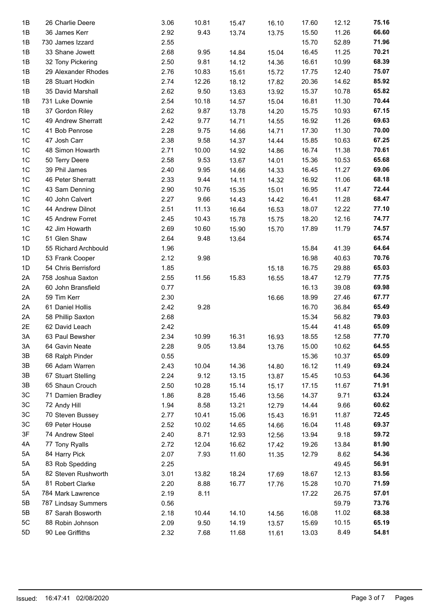| 1B             | 26 Charlie Deere     | 3.06 | 10.81 | 15.47 | 16.10 | 17.60 | 12.12 | 75.16 |  |
|----------------|----------------------|------|-------|-------|-------|-------|-------|-------|--|
| 1B             | 36 James Kerr        | 2.92 | 9.43  | 13.74 | 13.75 | 15.50 | 11.26 | 66.60 |  |
| 1B             | 730 James Izzard     | 2.55 |       |       |       | 15.70 | 52.89 | 71.96 |  |
| 1B             | 33 Shane Jowett      | 2.68 | 9.95  | 14.84 | 15.04 | 16.45 | 11.25 | 70.21 |  |
| 1B             | 32 Tony Pickering    | 2.50 | 9.81  | 14.12 | 14.36 | 16.61 | 10.99 | 68.39 |  |
| 1B             | 29 Alexander Rhodes  | 2.76 | 10.83 | 15.61 | 15.72 | 17.75 | 12.40 | 75.07 |  |
| 1B             | 28 Stuart Hodkin     | 2.74 | 12.26 | 18.12 | 17.82 | 20.36 | 14.62 | 85.92 |  |
| 1B             | 35 David Marshall    | 2.62 | 9.50  | 13.63 | 13.92 | 15.37 | 10.78 | 65.82 |  |
| 1B             | 731 Luke Downie      | 2.54 | 10.18 | 14.57 | 15.04 | 16.81 | 11.30 | 70.44 |  |
| 1B             | 37 Gordon Riley      | 2.62 | 9.87  | 13.78 | 14.20 | 15.75 | 10.93 | 67.15 |  |
| 1 <sup>C</sup> | 49 Andrew Sherratt   | 2.42 | 9.77  | 14.71 |       | 16.92 | 11.26 | 69.63 |  |
| 1 <sup>C</sup> | 41 Bob Penrose       | 2.28 | 9.75  |       | 14.55 | 17.30 | 11.30 | 70.00 |  |
|                |                      |      |       | 14.66 | 14.71 |       |       | 67.25 |  |
| 1 <sup>C</sup> | 47 Josh Carr         | 2.38 | 9.58  | 14.37 | 14.44 | 15.85 | 10.63 |       |  |
| 1 <sup>C</sup> | 48 Simon Howarth     | 2.71 | 10.00 | 14.92 | 14.86 | 16.74 | 11.38 | 70.61 |  |
| 1 <sup>C</sup> | 50 Terry Deere       | 2.58 | 9.53  | 13.67 | 14.01 | 15.36 | 10.53 | 65.68 |  |
| 1 <sup>C</sup> | 39 Phil James        | 2.40 | 9.95  | 14.66 | 14.33 | 16.45 | 11.27 | 69.06 |  |
| 1C             | 46 Peter Sherratt    | 2.33 | 9.44  | 14.11 | 14.32 | 16.92 | 11.06 | 68.18 |  |
| 1C             | 43 Sam Denning       | 2.90 | 10.76 | 15.35 | 15.01 | 16.95 | 11.47 | 72.44 |  |
| 1 <sup>C</sup> | 40 John Calvert      | 2.27 | 9.66  | 14.43 | 14.42 | 16.41 | 11.28 | 68.47 |  |
| 1C             | 44 Andrew Dilnot     | 2.51 | 11.13 | 16.64 | 16.53 | 18.07 | 12.22 | 77.10 |  |
| 1C             | 45 Andrew Forret     | 2.45 | 10.43 | 15.78 | 15.75 | 18.20 | 12.16 | 74.77 |  |
| 1C             | 42 Jim Howarth       | 2.69 | 10.60 | 15.90 | 15.70 | 17.89 | 11.79 | 74.57 |  |
| 1 <sup>C</sup> | 51 Glen Shaw         | 2.64 | 9.48  | 13.64 |       |       |       | 65.74 |  |
| 1D             | 55 Richard Archbould | 1.96 |       |       |       | 15.84 | 41.39 | 64.64 |  |
| 1D             | 53 Frank Cooper      | 2.12 | 9.98  |       |       | 16.98 | 40.63 | 70.76 |  |
| 1D             | 54 Chris Berrisford  | 1.85 |       |       | 15.18 | 16.75 | 29.88 | 65.03 |  |
| 2A             | 758 Joshua Saxton    | 2.55 | 11.56 | 15.83 | 16.55 | 18.47 | 12.79 | 77.75 |  |
| 2A             | 60 John Bransfield   | 0.77 |       |       |       | 16.13 | 39.08 | 69.98 |  |
| 2A             | 59 Tim Kerr          | 2.30 |       |       | 16.66 | 18.99 | 27.46 | 67.77 |  |
| 2A             | 61 Daniel Hollis     | 2.42 | 9.28  |       |       | 16.70 | 36.84 | 65.49 |  |
| 2A             | 58 Phillip Saxton    | 2.68 |       |       |       | 15.34 | 56.82 | 79.03 |  |
| 2E             | 62 David Leach       | 2.42 |       |       |       | 15.44 | 41.48 | 65.09 |  |
| 3A             | 63 Paul Bewsher      | 2.34 | 10.99 | 16.31 | 16.93 | 18.55 | 12.58 | 77.70 |  |
| $3A$           | 64 Gavin Neate       | 2.28 | 9.05  | 13.84 | 13.76 | 15.00 | 10.62 | 64.55 |  |
| 3B             | 68 Ralph Pinder      | 0.55 |       |       |       | 15.36 | 10.37 | 65.09 |  |
| 3B             | 66 Adam Warren       | 2.43 | 10.04 | 14.36 | 14.80 | 16.12 | 11.49 | 69.24 |  |
| 3B             | 67 Stuart Stelling   | 2.24 | 9.12  | 13.15 | 13.87 | 15.45 | 10.53 | 64.36 |  |
| 3B             | 65 Shaun Crouch      | 2.50 | 10.28 | 15.14 | 15.17 | 17.15 | 11.67 | 71.91 |  |
| 3C             | 71 Damien Bradley    | 1.86 | 8.28  | 15.46 | 13.56 | 14.37 | 9.71  | 63.24 |  |
| 3C             | 72 Andy Hill         | 1.94 | 8.58  | 13.21 | 12.79 | 14.44 | 9.66  | 60.62 |  |
| 3C             | 70 Steven Bussey     | 2.77 | 10.41 | 15.06 | 15.43 | 16.91 | 11.87 | 72.45 |  |
| 3C             | 69 Peter House       | 2.52 | 10.02 | 14.65 | 14.66 | 16.04 | 11.48 | 69.37 |  |
| 3F             | 74 Andrew Steel      | 2.40 | 8.71  | 12.93 | 12.56 | 13.94 | 9.18  | 59.72 |  |
| 4A             | 77 Tony Ryalls       | 2.72 | 12.04 | 16.62 | 17.42 | 19.26 | 13.84 | 81.90 |  |
| 5A             | 84 Harry Pick        | 2.07 | 7.93  | 11.60 | 11.35 | 12.79 | 8.62  | 54.36 |  |
| 5A             | 83 Rob Spedding      | 2.25 |       |       |       |       | 49.45 | 56.91 |  |
| 5A             | 82 Steven Rushworth  | 3.01 | 13.82 | 18.24 | 17.69 | 18.67 | 12.13 | 83.56 |  |
| 5A             | 81 Robert Clarke     | 2.20 | 8.88  | 16.77 | 17.76 | 15.28 | 10.70 | 71.59 |  |
| 5A             | 784 Mark Lawrence    | 2.19 | 8.11  |       |       | 17.22 | 26.75 | 57.01 |  |
| 5B             | 787 Lindsay Summers  | 0.56 |       |       |       |       | 59.79 | 73.76 |  |
| 5Β             | 87 Sarah Bosworth    | 2.18 | 10.44 | 14.10 | 14.56 | 16.08 | 11.02 | 68.38 |  |
| 5C             | 88 Robin Johnson     | 2.09 | 9.50  | 14.19 | 13.57 | 15.69 | 10.15 | 65.19 |  |
| 5D             | 90 Lee Griffiths     | 2.32 | 7.68  | 11.68 |       | 13.03 | 8.49  | 54.81 |  |
|                |                      |      |       |       | 11.61 |       |       |       |  |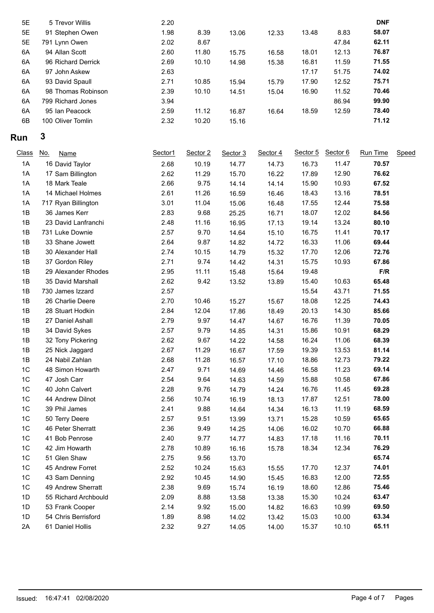| 5E | 5 Trevor Willis    | 2.20 |       |       |       |       |       | <b>DNF</b> |
|----|--------------------|------|-------|-------|-------|-------|-------|------------|
| 5E | 91 Stephen Owen    | 1.98 | 8.39  | 13.06 | 12.33 | 13.48 | 8.83  | 58.07      |
| 5E | 791 Lynn Owen      | 2.02 | 8.67  |       |       |       | 47.84 | 62.11      |
| 6A | 94 Allan Scott     | 2.60 | 11.80 | 15.75 | 16.58 | 18.01 | 12.13 | 76.87      |
| 6A | 96 Richard Derrick | 2.69 | 10.10 | 14.98 | 15.38 | 16.81 | 11.59 | 71.55      |
| 6A | 97 John Askew      | 2.63 |       |       |       | 17.17 | 51.75 | 74.02      |
| 6A | 93 David Spaull    | 2.71 | 10.85 | 15.94 | 15.79 | 17.90 | 12.52 | 75.71      |
| 6A | 98 Thomas Robinson | 2.39 | 10.10 | 14.51 | 15.04 | 16.90 | 11.52 | 70.46      |
| 6A | 799 Richard Jones  | 3.94 |       |       |       |       | 86.94 | 99.90      |
| 6A | 95 Ian Peacock     | 2.59 | 11.12 | 16.87 | 16.64 | 18.59 | 12.59 | 78.40      |
| 6B | 100 Oliver Tomlin  | 2.32 | 10.20 | 15.16 |       |       |       | 71.12      |
|    |                    |      |       |       |       |       |       |            |

## **Run 3**

| <b>Class</b><br><u>No.</u><br><b>Name</b> | Sector1 | Sector 2 | Sector 3 | Sector 4 | Sector 5 | Sector 6 | Run Time | <b>Speed</b>            |
|-------------------------------------------|---------|----------|----------|----------|----------|----------|----------|-------------------------|
| 16 David Taylor                           | 2.68    | 10.19    | 14.77    | 14.73    | 16.73    | 11.47    | 70.57    |                         |
| 17 Sam Billington                         | 2.62    | 11.29    | 15.70    | 16.22    | 17.89    | 12.90    | 76.62    |                         |
| 18 Mark Teale                             | 2.66    | 9.75     | 14.14    | 14.14    | 15.90    | 10.93    | 67.52    |                         |
| 14 Michael Holmes                         | 2.61    | 11.26    | 16.59    | 16.46    | 18.43    | 13.16    | 78.51    |                         |
| 717 Ryan Billington                       | 3.01    | 11.04    | 15.06    | 16.48    | 17.55    | 12.44    | 75.58    |                         |
| 36 James Kerr                             | 2.83    | 9.68     | 25.25    | 16.71    | 18.07    | 12.02    | 84.56    |                         |
| 23 David Lanfranchi                       | 2.48    | 11.16    | 16.95    | 17.13    | 19.14    | 13.24    | 80.10    |                         |
| 731 Luke Downie                           | 2.57    | 9.70     | 14.64    | 15.10    | 16.75    | 11.41    | 70.17    |                         |
| 33 Shane Jowett                           | 2.64    | 9.87     | 14.82    | 14.72    | 16.33    | 11.06    | 69.44    |                         |
| 30 Alexander Hall                         | 2.74    | 10.15    | 14.79    | 15.32    | 17.70    | 12.06    | 72.76    |                         |
| 37 Gordon Riley                           | 2.71    | 9.74     | 14.42    | 14.31    | 15.75    | 10.93    | 67.86    |                         |
| 29 Alexander Rhodes                       | 2.95    | 11.11    | 15.48    | 15.64    | 19.48    |          | F/R      |                         |
| 35 David Marshall                         | 2.62    | 9.42     | 13.52    | 13.89    | 15.40    | 10.63    | 65.48    |                         |
| 730 James Izzard                          | 2.57    |          |          |          | 15.54    | 43.71    | 71.55    |                         |
| 26 Charlie Deere                          | 2.70    | 10.46    | 15.27    | 15.67    | 18.08    | 12.25    | 74.43    |                         |
| 28 Stuart Hodkin                          | 2.84    | 12.04    | 17.86    | 18.49    | 20.13    | 14.30    | 85.66    |                         |
| 27 Daniel Ashall                          | 2.79    | 9.97     | 14.47    | 14.67    | 16.76    | 11.39    | 70.05    |                         |
| 34 David Sykes                            | 2.57    | 9.79     | 14.85    | 14.31    | 15.86    | 10.91    | 68.29    |                         |
| 32 Tony Pickering                         | 2.62    | 9.67     | 14.22    | 14.58    | 16.24    | 11.06    | 68.39    |                         |
| 25 Nick Jaggard                           | 2.67    | 11.29    | 16.67    | 17.59    | 19.39    | 13.53    | 81.14    |                         |
| 24 Nabil Zahlan                           | 2.68    | 11.28    | 16.57    | 17.10    | 18.86    | 12.73    | 79.22    |                         |
| 48 Simon Howarth                          | 2.47    | 9.71     | 14.69    | 14.46    | 16.58    | 11.23    | 69.14    |                         |
| 47 Josh Carr                              | 2.54    | 9.64     | 14.63    | 14.59    | 15.88    | 10.58    | 67.86    |                         |
| 40 John Calvert                           | 2.28    | 9.76     | 14.79    | 14.24    | 16.76    | 11.45    | 69.28    |                         |
| 44 Andrew Dilnot                          | 2.56    | 10.74    | 16.19    | 18.13    | 17.87    | 12.51    | 78.00    |                         |
| 39 Phil James                             | 2.41    | 9.88     | 14.64    | 14.34    | 16.13    | 11.19    | 68.59    |                         |
| 50 Terry Deere                            | 2.57    | 9.51     | 13.99    | 13.71    | 15.28    | 10.59    | 65.65    |                         |
| 46 Peter Sherratt                         | 2.36    | 9.49     | 14.25    | 14.06    | 16.02    | 10.70    | 66.88    |                         |
| 41 Bob Penrose                            | 2.40    | 9.77     | 14.77    | 14.83    | 17.18    | 11.16    | 70.11    |                         |
| 42 Jim Howarth                            | 2.78    | 10.89    | 16.16    | 15.78    | 18.34    | 12.34    |          |                         |
| 51 Glen Shaw                              | 2.75    | 9.56     | 13.70    |          |          |          |          |                         |
| 45 Andrew Forret                          | 2.52    | 10.24    | 15.63    | 15.55    | 17.70    | 12.37    |          |                         |
| 43 Sam Denning                            | 2.92    | 10.45    | 14.90    | 15.45    | 16.83    | 12.00    | 72.55    |                         |
| 49 Andrew Sherratt                        | 2.38    | 9.69     | 15.74    | 16.19    | 18.60    | 12.86    | 75.46    |                         |
| 55 Richard Archbould                      | 2.09    | 8.88     | 13.58    | 13.38    | 15.30    | 10.24    | 63.47    |                         |
| 53 Frank Cooper                           | 2.14    | 9.92     | 15.00    | 14.82    | 16.63    | 10.99    | 69.50    |                         |
| 54 Chris Berrisford                       | 1.89    | 8.98     | 14.02    | 13.42    | 15.03    | 10.00    | 63.34    |                         |
| 61 Daniel Hollis                          | 2.32    | 9.27     | 14.05    | 14.00    | 15.37    | 10.10    | 65.11    |                         |
|                                           |         |          |          |          |          |          |          | 76.29<br>65.74<br>74.01 |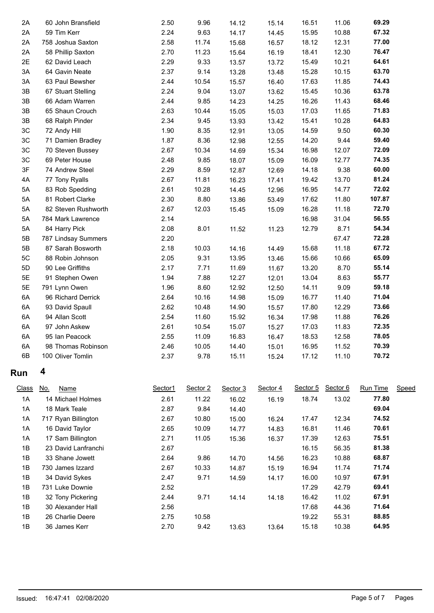| 2A            | 60 John Bransfield        | 2.50    | 9.96     | 14.12    | 15.14    | 16.51    | 11.06    | 69.29    |       |
|---------------|---------------------------|---------|----------|----------|----------|----------|----------|----------|-------|
| 2A            | 59 Tim Kerr               | 2.24    | 9.63     | 14.17    | 14.45    | 15.95    | 10.88    | 67.32    |       |
| 2A            | 758 Joshua Saxton         | 2.58    | 11.74    | 15.68    | 16.57    | 18.12    | 12.31    | 77.00    |       |
| 2A            | 58 Phillip Saxton         | 2.70    | 11.23    | 15.64    | 16.19    | 18.41    | 12.30    | 76.47    |       |
| 2E            | 62 David Leach            | 2.29    | 9.33     | 13.57    | 13.72    | 15.49    | 10.21    | 64.61    |       |
| 3A            | 64 Gavin Neate            | 2.37    | 9.14     | 13.28    | 13.48    | 15.28    | 10.15    | 63.70    |       |
| 3A            | 63 Paul Bewsher           | 2.44    | 10.54    | 15.57    | 16.40    | 17.63    | 11.85    | 74.43    |       |
| 3B            | 67 Stuart Stelling        | 2.24    | 9.04     | 13.07    | 13.62    | 15.45    | 10.36    | 63.78    |       |
| 3B            | 66 Adam Warren            | 2.44    | 9.85     | 14.23    | 14.25    | 16.26    | 11.43    | 68.46    |       |
| 3B            | 65 Shaun Crouch           | 2.63    | 10.44    | 15.05    | 15.03    | 17.03    | 11.65    | 71.83    |       |
| $3\mathsf{B}$ | 68 Ralph Pinder           | 2.34    | 9.45     | 13.93    | 13.42    | 15.41    | 10.28    | 64.83    |       |
| $3C$          | 72 Andy Hill              | 1.90    | 8.35     | 12.91    | 13.05    | 14.59    | 9.50     | 60.30    |       |
| $3\mathrm{C}$ | 71 Damien Bradley         | 1.87    | 8.36     | 12.98    | 12.55    | 14.20    | 9.44     | 59.40    |       |
| 3C            | 70 Steven Bussey          | 2.67    | 10.34    | 14.69    | 15.34    | 16.98    | 12.07    | 72.09    |       |
| 3C            | 69 Peter House            | 2.48    | 9.85     | 18.07    | 15.09    | 16.09    | 12.77    | 74.35    |       |
| 3F            | 74 Andrew Steel           | 2.29    | 8.59     | 12.87    | 12.69    | 14.18    | 9.38     | 60.00    |       |
| 4A            | 77 Tony Ryalls            | 2.67    | 11.81    | 16.23    | 17.41    | 19.42    | 13.70    | 81.24    |       |
| 5A            | 83 Rob Spedding           | 2.61    | 10.28    | 14.45    | 12.96    | 16.95    | 14.77    | 72.02    |       |
| 5A            | 81 Robert Clarke          | 2.30    | 8.80     | 13.86    | 53.49    | 17.62    | 11.80    | 107.87   |       |
| 5A            | 82 Steven Rushworth       | 2.67    | 12.03    | 15.45    | 15.09    | 16.28    | 11.18    | 72.70    |       |
| 5A            | 784 Mark Lawrence         | 2.14    |          |          |          | 16.98    | 31.04    | 56.55    |       |
| 5A            | 84 Harry Pick             | 2.08    | 8.01     | 11.52    | 11.23    | 12.79    | 8.71     | 54.34    |       |
| 5B            | 787 Lindsay Summers       | 2.20    |          |          |          |          | 67.47    | 72.28    |       |
| 5B            | 87 Sarah Bosworth         | 2.18    | 10.03    | 14.16    | 14.49    | 15.68    | 11.18    | 67.72    |       |
| 5C            | 88 Robin Johnson          | 2.05    | 9.31     | 13.95    | 13.46    | 15.66    | 10.66    | 65.09    |       |
| 5D            | 90 Lee Griffiths          | 2.17    | 7.71     | 11.69    | 11.67    | 13.20    | 8.70     | 55.14    |       |
| 5E            | 91 Stephen Owen           | 1.94    | 7.88     | 12.27    | 12.01    | 13.04    | 8.63     | 55.77    |       |
| $5E$          | 791 Lynn Owen             | 1.96    | 8.60     | 12.92    | 12.50    | 14.11    | 9.09     | 59.18    |       |
| 6A            | 96 Richard Derrick        | 2.64    | 10.16    | 14.98    | 15.09    | 16.77    | 11.40    | 71.04    |       |
| 6A            | 93 David Spaull           | 2.62    | 10.48    | 14.90    | 15.57    | 17.80    | 12.29    | 73.66    |       |
| 6A            | 94 Allan Scott            | 2.54    | 11.60    | 15.92    | 16.34    | 17.98    | 11.88    | 76.26    |       |
| 6A            | 97 John Askew             | 2.61    | 10.54    | 15.07    | 15.27    | 17.03    | 11.83    | 72.35    |       |
| 6A            | 95 Ian Peacock            | 2.55    | 11.09    | 16.83    | 16.47    | 18.53    | 12.58    | 78.05    |       |
| 6A            | 98 Thomas Robinson        | 2.46    | 10.05    | 14.40    | 15.01    | 16.95    | 11.52    | 70.39    |       |
| 6B            | 100 Oliver Tomlin         | 2.37    | 9.78     | 15.11    | 15.24    | 17.12    | 11.10    | 70.72    |       |
|               |                           |         |          |          |          |          |          |          |       |
| Run           | 4                         |         |          |          |          |          |          |          |       |
| <b>Class</b>  | <u>No.</u><br><b>Name</b> | Sector1 | Sector 2 | Sector 3 | Sector 4 | Sector 5 | Sector 6 | Run Time | Speed |
| 1A            | 14 Michael Holmes         | 2.61    | 11.22    | 16.02    | 16.19    | 18.74    | 13.02    | 77.80    |       |
| 1A            | 18 Mark Teale             | 2.87    | 9.84     | 14.40    |          |          |          | 69.04    |       |
| 1A            | 717 Ryan Billington       | 2.67    | 10.80    | 15.00    | 16.24    | 17.47    | 12.34    | 74.52    |       |
| 1A            | 16 David Taylor           | 2.65    | 10.09    | 14.77    | 14.83    | 16.81    | 11.46    | 70.61    |       |
| 1A            | 17 Sam Billington         | 2.71    | 11.05    | 15.36    | 16.37    | 17.39    | 12.63    | 75.51    |       |
| 1B            | 23 David Lanfranchi       | 2.67    |          |          |          | 16.15    | 56.35    | 81.38    |       |
| 1B            | 33 Shane Jowett           | 2.64    | 9.86     | 14.70    | 14.56    | 16.23    | 10.88    | 68.87    |       |
| 1B            | 730 James Izzard          | 2.67    | 10.33    | 14.87    | 15.19    | 16.94    | 11.74    | 71.74    |       |
| 1B            | 34 David Sykes            | 2.47    | 9.71     | 14.59    | 14.17    | 16.00    | 10.97    | 67.91    |       |
| 1B            | 731 Luke Downie           | 2.52    |          |          |          | 17.29    | 42.79    | 69.41    |       |
| 1B            | 32 Tony Pickering         | 2.44    | 9.71     | 14.14    | 14.18    | 16.42    | 11.02    | 67.91    |       |
| 1B            | 30 Alexander Hall         | 2.56    |          |          |          | 17.68    | 44.36    | 71.64    |       |
| 1B            | 26 Charlie Deere          | 2.75    | 10.58    |          |          | 19.22    | 55.31    | 88.85    |       |
| 1B            | 36 James Kerr             | 2.70    | 9.42     | 13.63    | 13.64    | 15.18    | 10.38    | 64.95    |       |
|               |                           |         |          |          |          |          |          |          |       |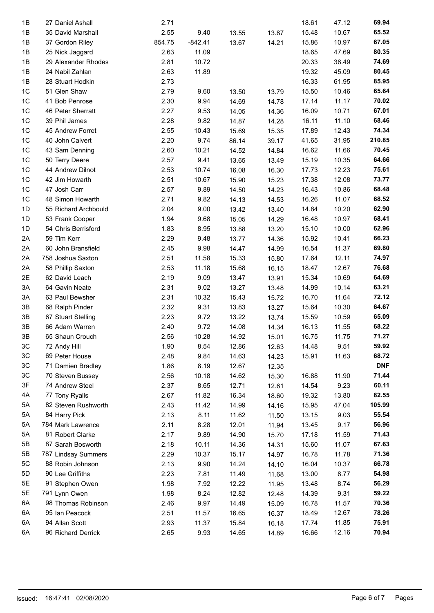| 1B             | 27 Daniel Ashall     | 2.71   |           |       |                | 18.61 | 47.12 | 69.94      |
|----------------|----------------------|--------|-----------|-------|----------------|-------|-------|------------|
| 1B             | 35 David Marshall    | 2.55   | 9.40      | 13.55 | 13.87          | 15.48 | 10.67 | 65.52      |
| 1B             | 37 Gordon Riley      | 854.75 | $-842.41$ | 13.67 | 14.21          | 15.86 | 10.97 | 67.05      |
| 1B             | 25 Nick Jaggard      | 2.63   | 11.09     |       |                | 18.65 | 47.69 | 80.35      |
| 1B             | 29 Alexander Rhodes  | 2.81   | 10.72     |       |                | 20.33 | 38.49 | 74.69      |
|                |                      |        |           |       |                |       | 45.09 |            |
| 1B             | 24 Nabil Zahlan      | 2.63   | 11.89     |       |                | 19.32 |       | 80.45      |
| 1B             | 28 Stuart Hodkin     | 2.73   |           |       |                | 16.33 | 61.95 | 85.95      |
| 1 <sup>C</sup> | 51 Glen Shaw         | 2.79   | 9.60      | 13.50 | 13.79          | 15.50 | 10.46 | 65.64      |
| 1 <sup>C</sup> | 41 Bob Penrose       | 2.30   | 9.94      | 14.69 | 14.78          | 17.14 | 11.17 | 70.02      |
| 1 <sup>C</sup> | 46 Peter Sherratt    | 2.27   | 9.53      | 14.05 | 14.36          | 16.09 | 10.71 | 67.01      |
| 1 <sup>C</sup> | 39 Phil James        | 2.28   | 9.82      | 14.87 | 14.28          | 16.11 | 11.10 | 68.46      |
| 1 <sup>C</sup> | 45 Andrew Forret     | 2.55   | 10.43     | 15.69 | 15.35          | 17.89 | 12.43 | 74.34      |
| 1 <sup>C</sup> | 40 John Calvert      | 2.20   | 9.74      | 86.14 | 39.17          | 41.65 | 31.95 | 210.85     |
| 1 <sup>C</sup> | 43 Sam Denning       | 2.60   | 10.21     | 14.52 | 14.84          | 16.62 | 11.66 | 70.45      |
| 1 <sup>C</sup> | 50 Terry Deere       | 2.57   | 9.41      | 13.65 | 13.49          | 15.19 | 10.35 | 64.66      |
| 1 <sup>C</sup> | 44 Andrew Dilnot     | 2.53   | 10.74     | 16.08 | 16.30          | 17.73 | 12.23 | 75.61      |
| 1 <sup>C</sup> | 42 Jim Howarth       | 2.51   | 10.67     | 15.90 | 15.23          | 17.38 | 12.08 | 73.77      |
| 1 <sup>C</sup> | 47 Josh Carr         | 2.57   | 9.89      | 14.50 | 14.23          | 16.43 | 10.86 | 68.48      |
| 1 <sup>C</sup> | 48 Simon Howarth     | 2.71   | 9.82      | 14.13 | 14.53          | 16.26 | 11.07 | 68.52      |
| 1D             | 55 Richard Archbould | 2.04   | 9.00      | 13.42 | 13.40          | 14.84 | 10.20 | 62.90      |
| 1D             | 53 Frank Cooper      | 1.94   | 9.68      | 15.05 | 14.29          | 16.48 | 10.97 | 68.41      |
| 1D             | 54 Chris Berrisford  | 1.83   | 8.95      | 13.88 | 13.20          | 15.10 | 10.00 | 62.96      |
| 2A             | 59 Tim Kerr          | 2.29   | 9.48      | 13.77 | 14.36          | 15.92 | 10.41 | 66.23      |
| 2A             | 60 John Bransfield   | 2.45   | 9.98      | 14.47 | 14.99          | 16.54 | 11.37 | 69.80      |
| 2A             | 758 Joshua Saxton    | 2.51   | 11.58     | 15.33 | 15.80          | 17.64 | 12.11 | 74.97      |
| 2A             | 58 Phillip Saxton    | 2.53   | 11.18     | 15.68 | 16.15          | 18.47 | 12.67 | 76.68      |
| 2E             | 62 David Leach       | 2.19   | 9.09      | 13.47 | 13.91          | 15.34 | 10.69 | 64.69      |
| 3A             | 64 Gavin Neate       | 2.31   | 9.02      | 13.27 | 13.48          | 14.99 | 10.14 | 63.21      |
| 3A             | 63 Paul Bewsher      | 2.31   | 10.32     | 15.43 | 15.72          | 16.70 | 11.64 | 72.12      |
| 3B             | 68 Ralph Pinder      | 2.32   | 9.31      | 13.83 | 13.27          | 15.64 | 10.30 | 64.67      |
| 3B             | 67 Stuart Stelling   | 2.23   | 9.72      | 13.22 | 13.74          | 15.59 | 10.59 | 65.09      |
| 3B             | 66 Adam Warren       | 2.40   | 9.72      | 14.08 | 14.34          | 16.13 | 11.55 | 68.22      |
| 3B             | 65 Shaun Crouch      | 2.56   | 10.28     | 14.92 | 15.01          | 16.75 | 11.75 | 71.27      |
| 3C             | 72 Andy Hill         | 1.90   | 8.54      | 12.86 |                | 14.48 | 9.51  | 59.92      |
| 3C             | 69 Peter House       | 2.48   | 9.84      | 14.63 | 12.63<br>14.23 | 15.91 | 11.63 | 68.72      |
| 3C             | 71 Damien Bradley    | 1.86   | 8.19      | 12.67 | 12.35          |       |       | <b>DNF</b> |
| 3C             | 70 Steven Bussey     | 2.56   | 10.18     | 14.62 | 15.30          | 16.88 | 11.90 | 71.44      |
| 3F             | 74 Andrew Steel      | 2.37   | 8.65      | 12.71 | 12.61          | 14.54 | 9.23  | 60.11      |
| 4A             | 77 Tony Ryalls       | 2.67   | 11.82     | 16.34 | 18.60          | 19.32 | 13.80 | 82.55      |
| 5A             | 82 Steven Rushworth  | 2.43   | 11.42     | 14.99 | 14.16          | 15.95 | 47.04 | 105.99     |
| 5A             | 84 Harry Pick        | 2.13   | 8.11      | 11.62 | 11.50          | 13.15 | 9.03  | 55.54      |
| 5A             | 784 Mark Lawrence    | 2.11   | 8.28      |       |                | 13.45 | 9.17  | 56.96      |
| 5A             | 81 Robert Clarke     |        |           | 12.01 | 11.94          |       |       | 71.43      |
|                |                      | 2.17   | 9.89      | 14.90 | 15.70          | 17.18 | 11.59 |            |
| 5B             | 87 Sarah Bosworth    | 2.18   | 10.11     | 14.36 | 14.31          | 15.60 | 11.07 | 67.63      |
| 5B             | 787 Lindsay Summers  | 2.29   | 10.37     | 15.17 | 14.97          | 16.78 | 11.78 | 71.36      |
| 5C             | 88 Robin Johnson     | 2.13   | 9.90      | 14.24 | 14.10          | 16.04 | 10.37 | 66.78      |
| 5D             | 90 Lee Griffiths     | 2.23   | 7.81      | 11.49 | 11.68          | 13.00 | 8.77  | 54.98      |
| 5E             | 91 Stephen Owen      | 1.98   | 7.92      | 12.22 | 11.95          | 13.48 | 8.74  | 56.29      |
| 5E             | 791 Lynn Owen        | 1.98   | 8.24      | 12.82 | 12.48          | 14.39 | 9.31  | 59.22      |
| 6A             | 98 Thomas Robinson   | 2.46   | 9.97      | 14.49 | 15.09          | 16.78 | 11.57 | 70.36      |
| 6A             | 95 Ian Peacock       | 2.51   | 11.57     | 16.65 | 16.37          | 18.49 | 12.67 | 78.26      |
| 6A             | 94 Allan Scott       | 2.93   | 11.37     | 15.84 | 16.18          | 17.74 | 11.85 | 75.91      |
| 6A             | 96 Richard Derrick   | 2.65   | 9.93      | 14.65 | 14.89          | 16.66 | 12.16 | 70.94      |